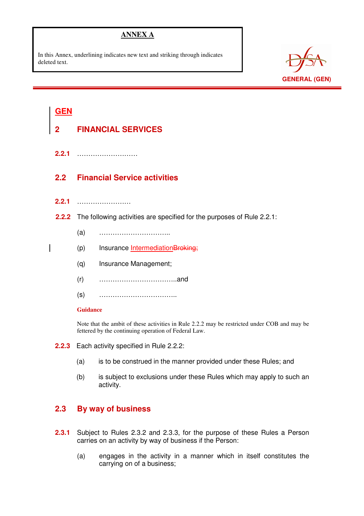# **ANNEX A**

In this Annex, underlining indicates new text and striking through indicates deleted text.



# **GEN**

i

- **2 FINANCIAL SERVICES**
- **2.2.1** ………………………

# **2.2 Financial Service activities**

- **2.2.1** ……………………
- **2.2.2** The following activities are specified for the purposes of Rule 2.2.1:
	- (a) …………………………..
	- (p) Insurance IntermediationBroking;
	- (q) Insurance Management;
	- (r) ……………………………..and
	- (s) ……………………………..

#### **Guidance**

Note that the ambit of these activities in Rule 2.2.2 may be restricted under COB and may be fettered by the continuing operation of Federal Law.

- **2.2.3** Each activity specified in Rule 2.2.2:
	- (a) is to be construed in the manner provided under these Rules; and
	- (b) is subject to exclusions under these Rules which may apply to such an activity.

## **2.3 By way of business**

- **2.3.1** Subject to Rules 2.3.2 and 2.3.3, for the purpose of these Rules a Person carries on an activity by way of business if the Person:
	- (a) engages in the activity in a manner which in itself constitutes the carrying on of a business;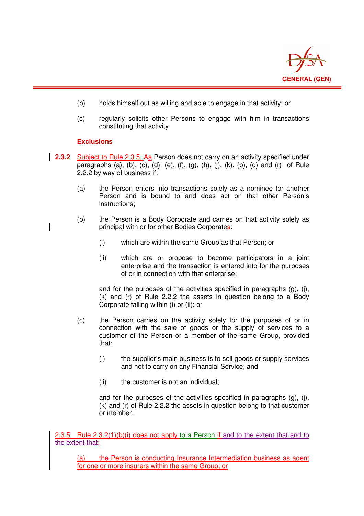

- (b) holds himself out as willing and able to engage in that activity; or
- (c) regularly solicits other Persons to engage with him in transactions constituting that activity.

### **Exclusions**

i

- **2.3.2** Subject to Rule 2.3.5, Aa Person does not carry on an activity specified under paragraphs (a), (b), (c), (d), (e), (f), (g), (h), (j), (k), (p), (q) and (r) of Rule 2.2.2 by way of business if:
	- (a) the Person enters into transactions solely as a nominee for another Person and is bound to and does act on that other Person's instructions;
	- (b) the Person is a Body Corporate and carries on that activity solely as principal with or for other Bodies Corporates:
		- (i) which are within the same Group as that Person; or
		- (ii) which are or propose to become participators in a joint enterprise and the transaction is entered into for the purposes of or in connection with that enterprise;

and for the purposes of the activities specified in paragraphs (g), (j), (k) and (r) of Rule 2.2.2 the assets in question belong to a Body Corporate falling within (i) or (ii); or

- (c) the Person carries on the activity solely for the purposes of or in connection with the sale of goods or the supply of services to a customer of the Person or a member of the same Group, provided that:
	- (i) the supplier's main business is to sell goods or supply services and not to carry on any Financial Service; and
	- (ii) the customer is not an individual;

and for the purposes of the activities specified in paragraphs (g), (j), (k) and (r) of Rule 2.2.2 the assets in question belong to that customer or member.

2.3.5 Rule  $2.3.2(1)(b)(i)$  does not apply to a Person if and to the extent that and to the extent that:

(a) the Person is conducting Insurance Intermediation business as agent for one or more insurers within the same Group; or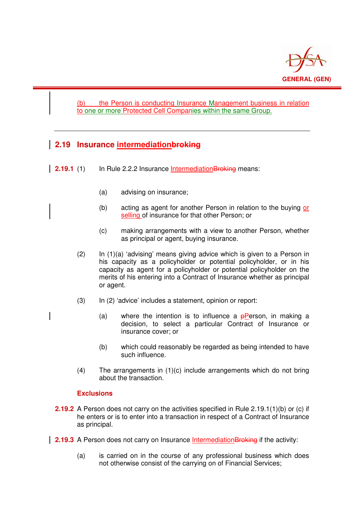

### (b) the Person is conducting Insurance Management business in relation to one or more Protected Cell Companies within the same Group.

# **2.19 Insurance intermediationbroking**

i

- **2.19.1** (1) In Rule 2.2.2 Insurance Intermediation Broking means:
	- (a) advising on insurance;
	- (b) acting as agent for another Person in relation to the buying or selling of insurance for that other Person; or
	- (c) making arrangements with a view to another Person, whether as principal or agent, buying insurance.
	- $(2)$  In  $(1)(a)$  'advising' means giving advice which is given to a Person in his capacity as a policyholder or potential policyholder, or in his capacity as agent for a policyholder or potential policyholder on the merits of his entering into a Contract of Insurance whether as principal or agent.
	- (3) In (2) 'advice' includes a statement, opinion or report:
		- (a) where the intention is to influence a  $\theta$ Person, in making a decision, to select a particular Contract of Insurance or insurance cover; or
		- (b) which could reasonably be regarded as being intended to have such influence.
	- (4) The arrangements in (1)(c) include arrangements which do not bring about the transaction.

#### **Exclusions**

- **2.19.2** A Person does not carry on the activities specified in Rule 2.19.1(1)(b) or (c) if he enters or is to enter into a transaction in respect of a Contract of Insurance as principal.
- **2.19.3** A Person does not carry on Insurance Intermediation Broking if the activity:
	- (a) is carried on in the course of any professional business which does not otherwise consist of the carrying on of Financial Services;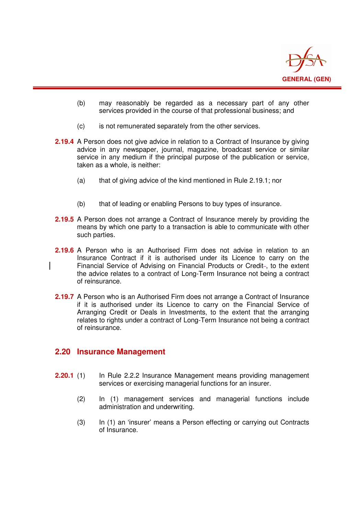

- (b) may reasonably be regarded as a necessary part of any other services provided in the course of that professional business; and
- (c) is not remunerated separately from the other services.
- **2.19.4** A Person does not give advice in relation to a Contract of Insurance by giving advice in any newspaper, journal, magazine, broadcast service or similar service in any medium if the principal purpose of the publication or service, taken as a whole, is neither:
	- (a) that of giving advice of the kind mentioned in Rule 2.19.1; nor
	- (b) that of leading or enabling Persons to buy types of insurance.
- **2.19.5** A Person does not arrange a Contract of Insurance merely by providing the means by which one party to a transaction is able to communicate with other such parties.
- **2.19.6** A Person who is an Authorised Firm does not advise in relation to an Insurance Contract if it is authorised under its Licence to carry on the Financial Service of Advising on Financial Products or Credit-, to the extent the advice relates to a contract of Long-Term Insurance not being a contract of reinsurance.
- **2.19.7** A Person who is an Authorised Firm does not arrange a Contract of Insurance if it is authorised under its Licence to carry on the Financial Service of Arranging Credit or Deals in Investments, to the extent that the arranging relates to rights under a contract of Long-Term Insurance not being a contract of reinsurance.

### **2.20 Insurance Management**

i

- **2.20.1** (1) In Rule 2.2.2 Insurance Management means providing management services or exercising managerial functions for an insurer.
	- (2) In (1) management services and managerial functions include administration and underwriting.
	- (3) In (1) an 'insurer' means a Person effecting or carrying out Contracts of Insurance.